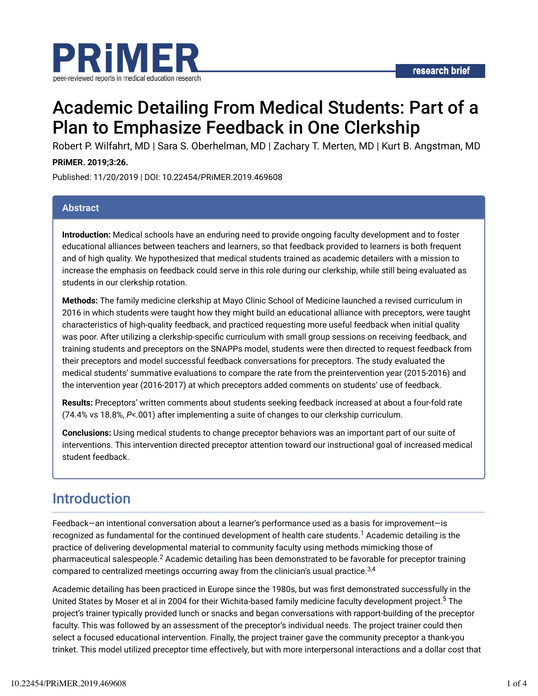

# Academic Detailing From Medical Students: Part of a Plan to Emphasize Feedback in One Clerkship

Robert P. Wilfahrt, MD | Sara S. Oberhelman, MD | Zachary T. Merten, MD | Kurt B. Angstman, MD

#### **PRiMER. 2019;3:26.**

Published: 11/20/2019 | DOI: 10.22454/PRiMER.2019.469608

#### **Abstract**

**Introduction:** Medical schools have an enduring need to provide ongoing faculty development and to foster educational alliances between teachers and learners, so that feedback provided to learners is both frequent and of high quality. We hypothesized that medical students trained as academic detailers with a mission to increase the emphasis on feedback could serve in this role during our clerkship, while still being evaluated as students in our clerkship rotation.

**Methods:** The family medicine clerkship at Mayo Clinic School of Medicine launched a revised curriculum in 2016 in which students were taught how they might build an educational alliance with preceptors, were taught characteristics of high-quality feedback, and practiced requesting more useful feedback when initial quality was poor. After utilizing a clerkship-specific curriculum with small group sessions on receiving feedback, and training students and preceptors on the SNAPPs model, students were then directed to request feedback from their preceptors and model successful feedback conversations for preceptors. The study evaluated the medical students' summative evaluations to compare the rate from the preintervention year (2015-2016) and the intervention year (2016-2017) at which preceptors added comments on students' use of feedback.

**Results:** Preceptors' written comments about students seeking feedback increased at about a four-fold rate (74.4% vs 18.8%, *P*<.001) after implementing a suite of changes to our clerkship curriculum.

**Conclusions:** Using medical students to change preceptor behaviors was an important part of our suite of interventions. This intervention directed preceptor attention toward our instructional goal of increased medical student feedback.

### Introduction

Feedback—an intentional conversation about a learner's performance used as a basis for improvement—is recognized as fundamental for the continued development of health care students. $^1$  Academic detailing is the practice of delivering developmental material to community faculty using methods mimicking those of pharmaceutical salespeople. $^2$  Academic detailing has been demonstrated to be favorable for preceptor training compared to centralized meetings occurring away from the clinician's usual practice. $^{3,4}$ 

Academic detailing has been practiced in Europe since the 1980s, but was first demonstrated successfully in the United States by Moser et al in 2004 for their Wichita-based family medicine faculty development project.<sup>5</sup> The project's trainer typically provided lunch or snacks and began conversations with rapport-building of the preceptor faculty. This was followed by an assessment of the preceptor's individual needs. The project trainer could then select a focused educational intervention. Finally, the project trainer gave the community preceptor a thank-you trinket. This model utilized preceptor time effectively, but with more interpersonal interactions and a dollar cost that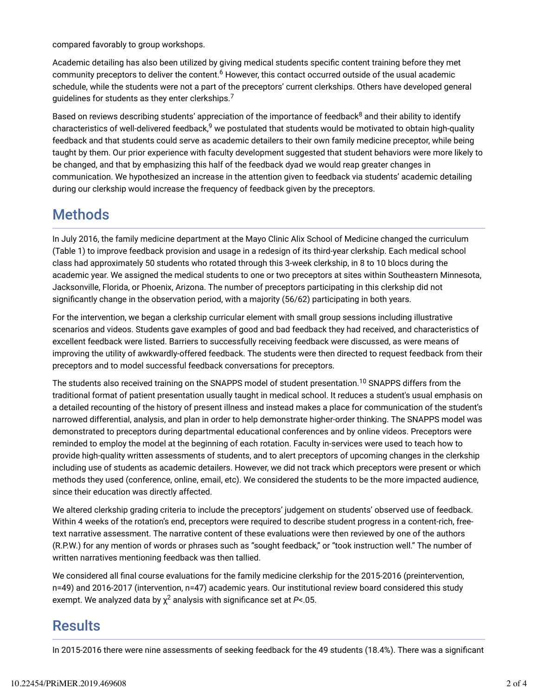compared favorably to group workshops.

Academic detailing has also been utilized by giving medical students specific content training before they met community preceptors to deliver the content.<sup>6</sup> However, this contact occurred outside of the usual academic schedule, while the students were not a part of the preceptors' current clerkships. Others have developed general guidelines for students as they enter clerkships. $^7$ 

Based on reviews describing students' appreciation of the importance of feedback<sup>8</sup> and their ability to identify characteristics of well-delivered feedback,<sup>9</sup> we postulated that students would be motivated to obtain high-quality feedback and that students could serve as academic detailers to their own family medicine preceptor, while being taught by them. Our prior experience with faculty development suggested that student behaviors were more likely to be changed, and that by emphasizing this half of the feedback dyad we would reap greater changes in communication. We hypothesized an increase in the attention given to feedback via students' academic detailing during our clerkship would increase the frequency of feedback given by the preceptors.

# **Methods**

In July 2016, the family medicine department at the Mayo Clinic Alix School of Medicine changed the curriculum (Table 1) to improve feedback provision and usage in a redesign of its third-year clerkship. Each medical school class had approximately 50 students who rotated through this 3-week clerkship, in 8 to 10 blocs during the academic year. We assigned the medical students to one or two preceptors at sites within Southeastern Minnesota, Jacksonville, Florida, or Phoenix, Arizona. The number of preceptors participating in this clerkship did not significantly change in the observation period, with a majority (56/62) participating in both years.

For the intervention, we began a clerkship curricular element with small group sessions including illustrative scenarios and videos. Students gave examples of good and bad feedback they had received, and characteristics of excellent feedback were listed. Barriers to successfully receiving feedback were discussed, as were means of improving the utility of awkwardly-offered feedback. The students were then directed to request feedback from their preceptors and to model successful feedback conversations for preceptors.

The students also received training on the SNAPPS model of student presentation. $^{10}$  SNAPPS differs from the traditional format of patient presentation usually taught in medical school. It reduces a student's usual emphasis on a detailed recounting of the history of present illness and instead makes a place for communication of the student's narrowed differential, analysis, and plan in order to help demonstrate higher-order thinking. The SNAPPS model was demonstrated to preceptors during departmental educational conferences and by online videos. Preceptors were reminded to employ the model at the beginning of each rotation. Faculty in-services were used to teach how to provide high-quality written assessments of students, and to alert preceptors of upcoming changes in the clerkship including use of students as academic detailers. However, we did not track which preceptors were present or which methods they used (conference, online, email, etc). We considered the students to be the more impacted audience, since their education was directly affected.

We altered clerkship grading criteria to include the preceptors' judgement on students' observed use of feedback. Within 4 weeks of the rotation's end, preceptors were required to describe student progress in a content-rich, freetext narrative assessment. The narrative content of these evaluations were then reviewed by one of the authors (R.P.W.) for any mention of words or phrases such as "sought feedback," or "took instruction well." The number of written narratives mentioning feedback was then tallied.

We considered all final course evaluations for the family medicine clerkship for the 2015-2016 (preintervention, n=49) and 2016-2017 (intervention, n=47) academic years. Our institutional review board considered this study exempt. We analyzed data by  $\chi^2$  analysis with significance set at P<.05.

## **Results**

In 2015-2016 there were nine assessments of seeking feedback for the 49 students (18.4%). There was a significant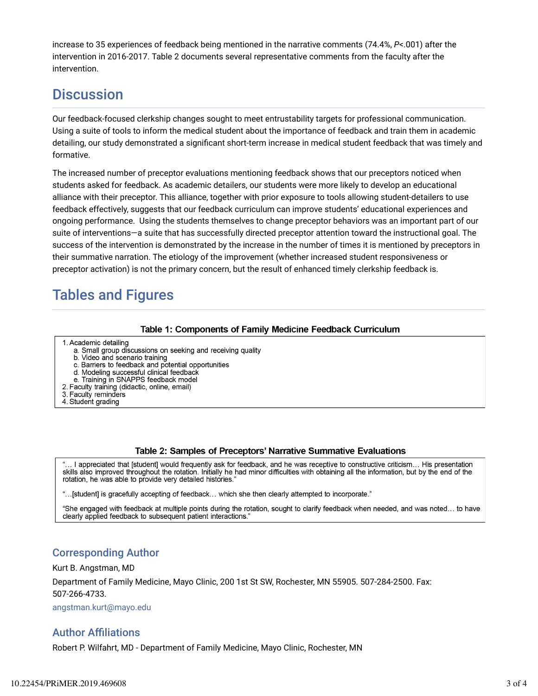increase to 35 experiences of feedback being mentioned in the narrative comments (74.4%, *P*<.001) after the intervention in 2016-2017. Table 2 documents several representative comments from the faculty after the intervention.

## **Discussion**

Our feedback-focused clerkship changes sought to meet entrustability targets for professional communication. Using a suite of tools to inform the medical student about the importance of feedback and train them in academic detailing, our study demonstrated a significant short-term increase in medical student feedback that was timely and formative.

The increased number of preceptor evaluations mentioning feedback shows that our preceptors noticed when students asked for feedback. As academic detailers, our students were more likely to develop an educational alliance with their preceptor. This alliance, together with prior exposure to tools allowing student-detailers to use feedback effectively, suggests that our feedback curriculum can improve students' educational experiences and ongoing performance. Using the students themselves to change preceptor behaviors was an important part of our suite of interventions—a suite that has successfully directed preceptor attention toward the instructional goal. The success of the intervention is demonstrated by the increase in the number of times it is mentioned by preceptors in their summative narration. The etiology of the improvement (whether increased student responsiveness or preceptor activation) is not the primary concern, but the result of enhanced timely clerkship feedback is.

# Tables and Figures

#### **Table 1: Components of Family Medicine Feedback Curriculum**

- 1. Academic detailing
	- a. Small group discussions on seeking and receiving quality
	- b. Video and scenario training
	- c. Barriers to feedback and potential opportunities
	- d. Modeling successful clinical feedback
	- e. Training in SNAPPS feedback model
- 2. Faculty training (didactic, online, email)
- 3. Faculty reminders 4. Student grading
- 

#### Table 2: Samples of Preceptors' Narrative Summative Evaluations

I appreciated that [student] would frequently ask for feedback, and he was receptive to constructive criticism... His presentation skills also improved throughout the rotation. Initially he had minor difficulties with obtaining all the information, but by the end of the rotation, he was able to provide very detailed histories."

"...[student] is gracefully accepting of feedback... which she then clearly attempted to incorporate."

"She engaged with feedback at multiple points during the rotation, sought to clarify feedback when needed, and was noted... to have clearly applied feedback to subsequent patient interactions.

### Corresponding Author

Kurt B. Angstman, MD

Department of Family Medicine, Mayo Clinic, 200 1st St SW, Rochester, MN 55905. 507-284-2500. Fax: 507-266-4733.

angstman.kurt@mayo.edu

### **Author Affiliations**

Robert P. Wilfahrt, MD - Department of Family Medicine, Mayo Clinic, Rochester, MN